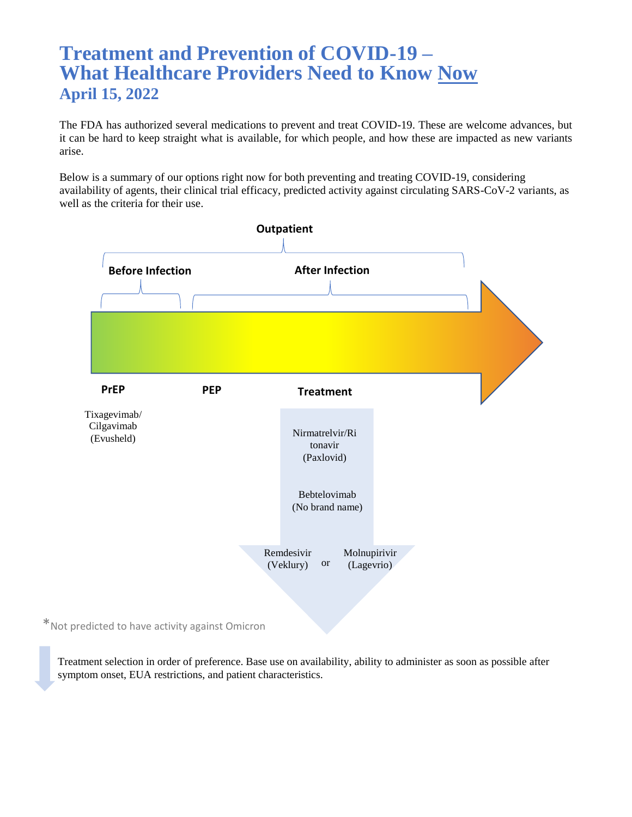# **Treatment and Prevention of COVID-19 – What Healthcare Providers Need to Know Now April 15, 2022**

The FDA has authorized several medications to prevent and treat COVID-19. These are welcome advances, but it can be hard to keep straight what is available, for which people, and how these are impacted as new variants arise.

Below is a summary of our options right now for both preventing and treating COVID-19, considering availability of agents, their clinical trial efficacy, predicted activity against circulating SARS-CoV-2 variants, as well as the criteria for their use.



\*Not predicted to have activity against Omicron

Treatment selection in order of preference. Base use on availability, ability to administer as soon as possible after symptom onset, EUA restrictions, and patient characteristics.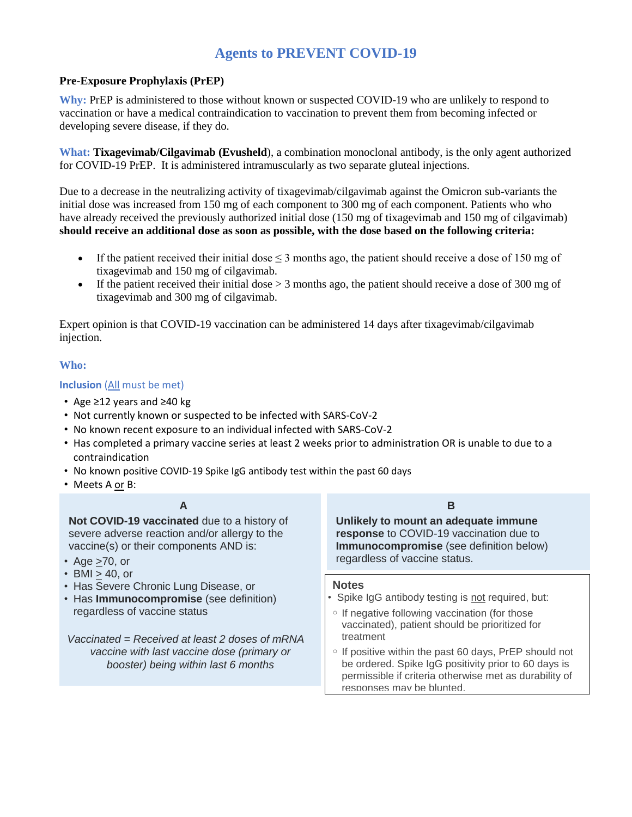# **Agents to PREVENT COVID-19**

#### **Pre-Exposure Prophylaxis (PrEP)**

**Why:** PrEP is administered to those without known or suspected COVID-19 who are unlikely to respond to vaccination or have a medical contraindication to vaccination to prevent them from becoming infected or developing severe disease, if they do.

**What: Tixagevimab/Cilgavimab (Evusheld**), a combination monoclonal antibody, is the only agent authorized for COVID-19 PrEP. It is administered intramuscularly as two separate gluteal injections.

Due to a decrease in the neutralizing activity of tixagevimab/cilgavimab against the Omicron sub-variants the initial dose was increased from 150 mg of each component to 300 mg of each component. Patients who who have already received the previously authorized initial dose (150 mg of tixagevimab and 150 mg of cilgavimab) **should receive an additional dose as soon as possible, with the dose based on the following criteria:** 

- If the patient received their initial dose  $\leq$  3 months ago, the patient should receive a dose of 150 mg of tixagevimab and 150 mg of cilgavimab.
- If the patient received their initial dose  $> 3$  months ago, the patient should receive a dose of 300 mg of tixagevimab and 300 mg of cilgavimab.

Expert opinion is that COVID-19 vaccination can be administered 14 days after tixagevimab/cilgavimab injection.

#### **Who:**

#### **Inclusion** (All must be met)

- Age ≥12 years and ≥40 kg
- Not currently known or suspected to be infected with SARS-CoV-2
- No known recent exposure to an individual infected with SARS-CoV-2
- Has completed a primary vaccine series at least 2 weeks prior to administration OR is unable to due to a contraindication
- No known positive COVID-19 Spike IgG antibody test within the past 60 days
- Meets A or B:

#### **A**

**Not COVID-19 vaccinated** due to a history of severe adverse reaction and/or allergy to the vaccine(s) or their components AND is:

- Age  $\geq$ 70, or
- BMI > 40, or
- Has Severe Chronic Lung Disease, or
- Has **Immunocompromise** (see definition) regardless of vaccine status

*Vaccinated = Received at least 2 doses of mRNA vaccine with last vaccine dose (primary or booster) being within last 6 months*

#### **B**

**Unlikely to mount an adequate immune response** to COVID-19 vaccination due to **Immunocompromise** (see definition below) regardless of vaccine status.

#### **Notes**

- Spike IgG antibody testing is not required, but:
- If negative following vaccination (for those vaccinated), patient should be prioritized for treatment
- If positive within the past 60 days, PrEP should not be ordered. Spike IgG positivity prior to 60 days is permissible if criteria otherwise met as durability of responses may be blunted.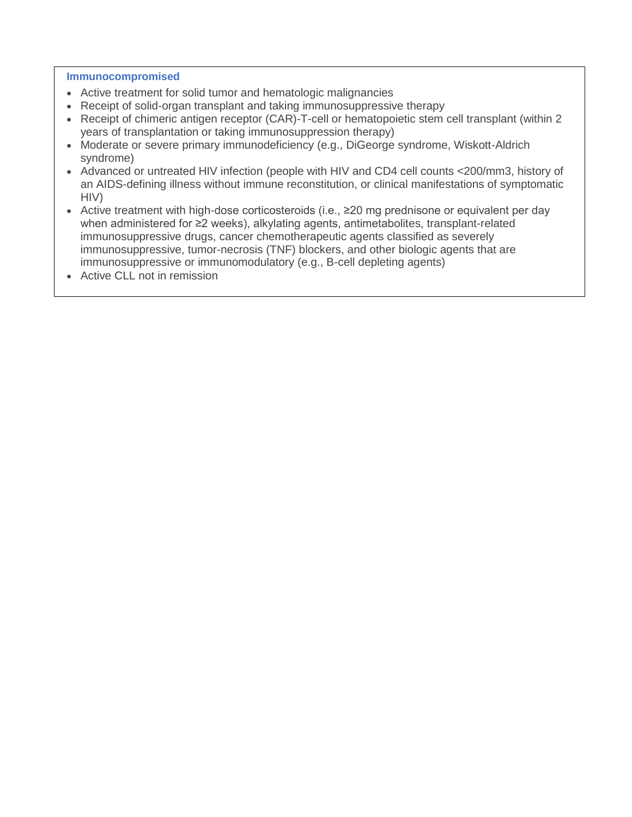#### **Immunocompromised**

- Active treatment for solid tumor and hematologic malignancies
- Receipt of solid-organ transplant and taking immunosuppressive therapy
- Receipt of chimeric antigen receptor (CAR)-T-cell or hematopoietic stem cell transplant (within 2 years of transplantation or taking immunosuppression therapy)
- Moderate or severe primary immunodeficiency (e.g., DiGeorge syndrome, Wiskott-Aldrich syndrome)
- Advanced or untreated HIV infection (people with HIV and CD4 cell counts <200/mm3, history of an AIDS-defining illness without immune reconstitution, or clinical manifestations of symptomatic HIV)
- Active treatment with high-dose corticosteroids (i.e., ≥20 mg prednisone or equivalent per day when administered for ≥2 weeks), alkylating agents, antimetabolites, transplant-related immunosuppressive drugs, cancer chemotherapeutic agents classified as severely immunosuppressive, tumor-necrosis (TNF) blockers, and other biologic agents that are immunosuppressive or immunomodulatory (e.g., B-cell depleting agents)
- Active CLL not in remission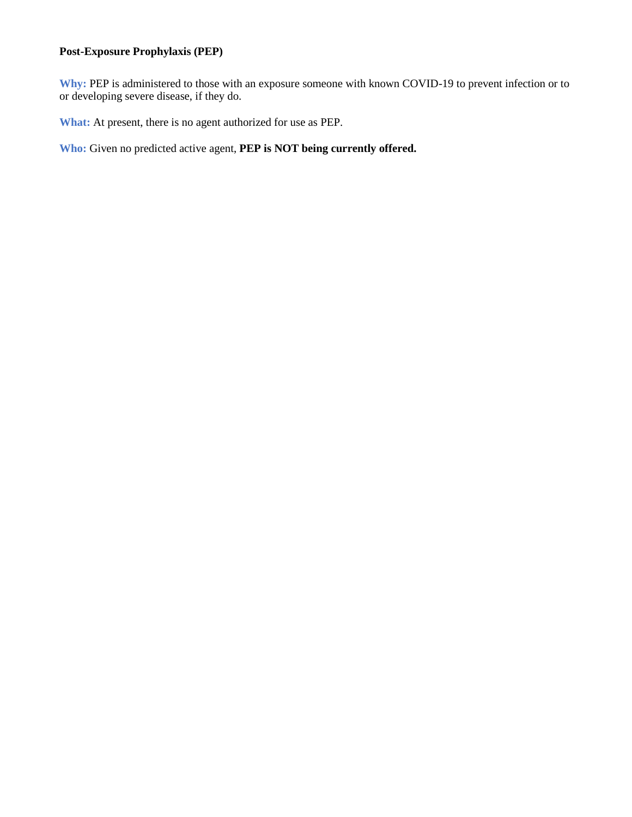### **Post-Exposure Prophylaxis (PEP)**

**Why:** PEP is administered to those with an exposure someone with known COVID-19 to prevent infection or to or developing severe disease, if they do.

**What:** At present, there is no agent authorized for use as PEP.

**Who:** Given no predicted active agent, **PEP is NOT being currently offered.**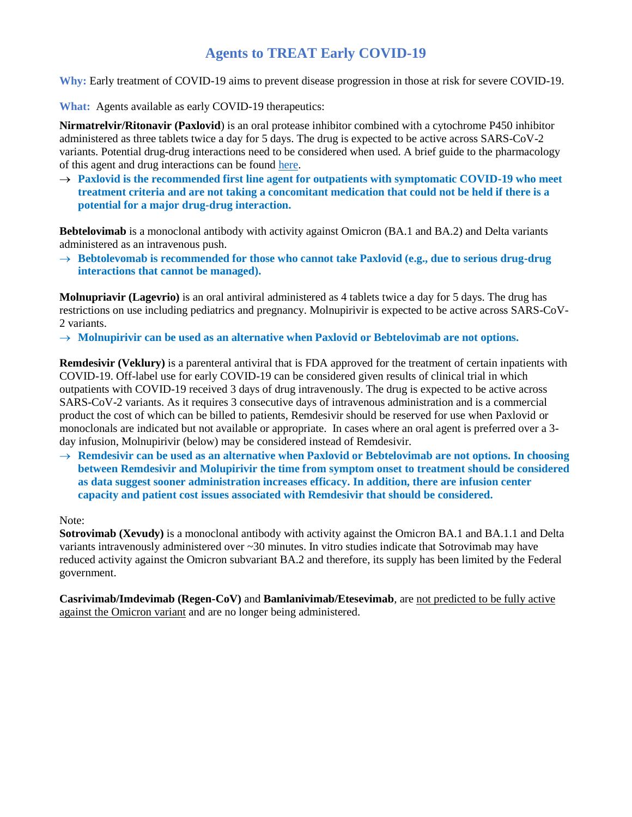# **Agents to TREAT Early COVID-19**

**Why:** Early treatment of COVID-19 aims to prevent disease progression in those at risk for severe COVID-19.

**What:** Agents available as early COVID-19 therapeutics:

**Nirmatrelvir/Ritonavir (Paxlovid**) is an oral protease inhibitor combined with a cytochrome P450 inhibitor administered as three tablets twice a day for 5 days. The drug is expected to be active across SARS-CoV-2 variants. Potential drug-drug interactions need to be considered when used. A brief guide to the pharmacology of this agent and drug interactions can be found [here.](https://unchcs.intranet.unchealthcare.org/COVID19ResourcesandNews/Documents/TreatmentGuidelines/Paxlovid_Resources.pdf)

→ Paxlovid is the recommended first line agent for outpatients with symptomatic COVID-19 who meet **treatment criteria and are not taking a concomitant medication that could not be held if there is a potential for a major drug-drug interaction.**

**Bebtelovimab** is a monoclonal antibody with activity against Omicron (BA.1 and BA.2) and Delta variants administered as an intravenous push.

 **Bebtolevomab is recommended for those who cannot take Paxlovid (e.g., due to serious drug-drug interactions that cannot be managed).**

**Molnupriavir (Lagevrio)** is an oral antiviral administered as 4 tablets twice a day for 5 days. The drug has restrictions on use including pediatrics and pregnancy. Molnupirivir is expected to be active across SARS-CoV-2 variants.

 $\rightarrow$  Molnupirivir can be used as an alternative when Paxlovid or Bebtelovimab are not options.

**Remdesivir (Veklury)** is a parenteral antiviral that is FDA approved for the treatment of certain inpatients with COVID-19. Off-label use for early COVID-19 can be considered given results of clinical trial in which outpatients with COVID-19 received 3 days of drug intravenously. The drug is expected to be active across SARS-CoV-2 variants. As it requires 3 consecutive days of intravenous administration and is a commercial product the cost of which can be billed to patients, Remdesivir should be reserved for use when Paxlovid or monoclonals are indicated but not available or appropriate. In cases where an oral agent is preferred over a 3 day infusion, Molnupirivir (below) may be considered instead of Remdesivir.

 $\rightarrow$  Remdesivir can be used as an alternative when Paxlovid or Bebtelovimab are not options. In choosing **between Remdesivir and Molupirivir the time from symptom onset to treatment should be considered as data suggest sooner administration increases efficacy. In addition, there are infusion center capacity and patient cost issues associated with Remdesivir that should be considered.**

Note:

**Sotrovimab (Xevudy)** is a monoclonal antibody with activity against the Omicron BA.1 and BA.1.1 and Delta variants intravenously administered over ~30 minutes. In vitro studies indicate that Sotrovimab may have reduced activity against the Omicron subvariant BA.2 and therefore, its supply has been limited by the Federal government.

**Casrivimab/Imdevimab (Regen-CoV)** and **Bamlanivimab/Etesevimab**, are not predicted to be fully active against the Omicron variant and are no longer being administered.